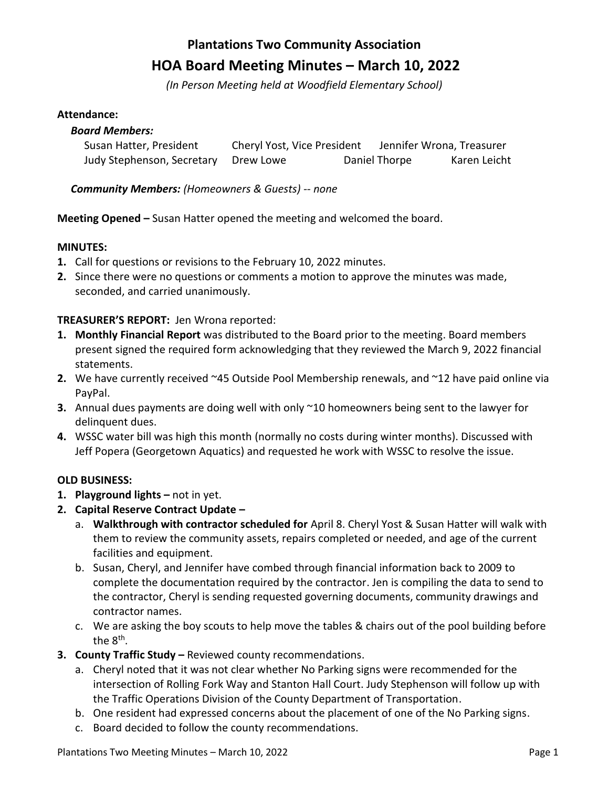# **Plantations Two Community Association HOA Board Meeting Minutes – March 10, 2022**

*(In Person Meeting held at Woodfield Elementary School)*

#### **Attendance:**

# *Board Members:* Susan Hatter, President Cheryl Yost, Vice President Jennifer Wrona, Treasurer Judy Stephenson, Secretary Drew Lowe Daniel Thorpe Karen Leicht

## *Community Members: (Homeowners & Guests) -- none*

**Meeting Opened –** Susan Hatter opened the meeting and welcomed the board.

## **MINUTES:**

- **1.** Call for questions or revisions to the February 10, 2022 minutes.
- **2.** Since there were no questions or comments a motion to approve the minutes was made, seconded, and carried unanimously.

## **TREASURER'S REPORT:** Jen Wrona reported:

- **1. Monthly Financial Report** was distributed to the Board prior to the meeting. Board members present signed the required form acknowledging that they reviewed the March 9, 2022 financial statements.
- **2.** We have currently received ~45 Outside Pool Membership renewals, and ~12 have paid online via PayPal.
- **3.** Annual dues payments are doing well with only ~10 homeowners being sent to the lawyer for delinquent dues.
- **4.** WSSC water bill was high this month (normally no costs during winter months). Discussed with Jeff Popera (Georgetown Aquatics) and requested he work with WSSC to resolve the issue.

## **OLD BUSINESS:**

- **1. Playground lights –** not in yet.
- **2. Capital Reserve Contract Update –**
	- a. **Walkthrough with contractor scheduled for** April 8. Cheryl Yost & Susan Hatter will walk with them to review the community assets, repairs completed or needed, and age of the current facilities and equipment.
	- b. Susan, Cheryl, and Jennifer have combed through financial information back to 2009 to complete the documentation required by the contractor. Jen is compiling the data to send to the contractor, Cheryl is sending requested governing documents, community drawings and contractor names.
	- c. We are asking the boy scouts to help move the tables & chairs out of the pool building before the 8<sup>th</sup>.
- **3. County Traffic Study –** Reviewed county recommendations.
	- a. Cheryl noted that it was not clear whether No Parking signs were recommended for the intersection of Rolling Fork Way and Stanton Hall Court. Judy Stephenson will follow up with the Traffic Operations Division of the County Department of Transportation.
	- b. One resident had expressed concerns about the placement of one of the No Parking signs.
	- c. Board decided to follow the county recommendations.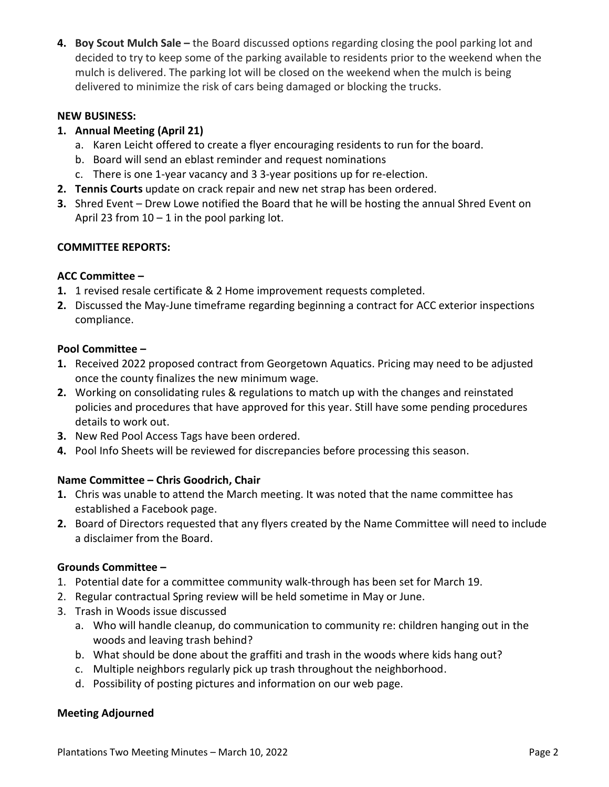**4.** Boy Scout Mulch Sale – the Board discussed options regarding closing the pool parking lot and decided to try to keep some of the parking available to residents prior to the weekend when the mulch is delivered. The parking lot will be closed on the weekend when the mulch is being delivered to minimize the risk of cars being damaged or blocking the trucks.

## **NEW BUSINESS:**

## **1. Annual Meeting (April 21)**

- a. Karen Leicht offered to create a flyer encouraging residents to run for the board.
- b. Board will send an eblast reminder and request nominations
- c. There is one 1-year vacancy and 3 3-year positions up for re-election.
- **2. Tennis Courts** update on crack repair and new net strap has been ordered.
- **3.** Shred Event Drew Lowe notified the Board that he will be hosting the annual Shred Event on April 23 from  $10 - 1$  in the pool parking lot.

## **COMMITTEE REPORTS:**

## **ACC Committee –**

- **1.** 1 revised resale certificate & 2 Home improvement requests completed.
- **2.** Discussed the May-June timeframe regarding beginning a contract for ACC exterior inspections compliance.

## **Pool Committee –**

- **1.** Received 2022 proposed contract from Georgetown Aquatics. Pricing may need to be adjusted once the county finalizes the new minimum wage.
- **2.** Working on consolidating rules & regulations to match up with the changes and reinstated policies and procedures that have approved for this year. Still have some pending procedures details to work out.
- **3.** New Red Pool Access Tags have been ordered.
- **4.** Pool Info Sheets will be reviewed for discrepancies before processing this season.

## **Name Committee – Chris Goodrich, Chair**

- **1.** Chris was unable to attend the March meeting. It was noted that the name committee has established a Facebook page.
- **2.** Board of Directors requested that any flyers created by the Name Committee will need to include a disclaimer from the Board.

## **Grounds Committee –**

- 1. Potential date for a committee community walk-through has been set for March 19.
- 2. Regular contractual Spring review will be held sometime in May or June.
- 3. Trash in Woods issue discussed
	- a. Who will handle cleanup, do communication to community re: children hanging out in the woods and leaving trash behind?
	- b. What should be done about the graffiti and trash in the woods where kids hang out?
	- c. Multiple neighbors regularly pick up trash throughout the neighborhood.
	- d. Possibility of posting pictures and information on our web page.

## **Meeting Adjourned**